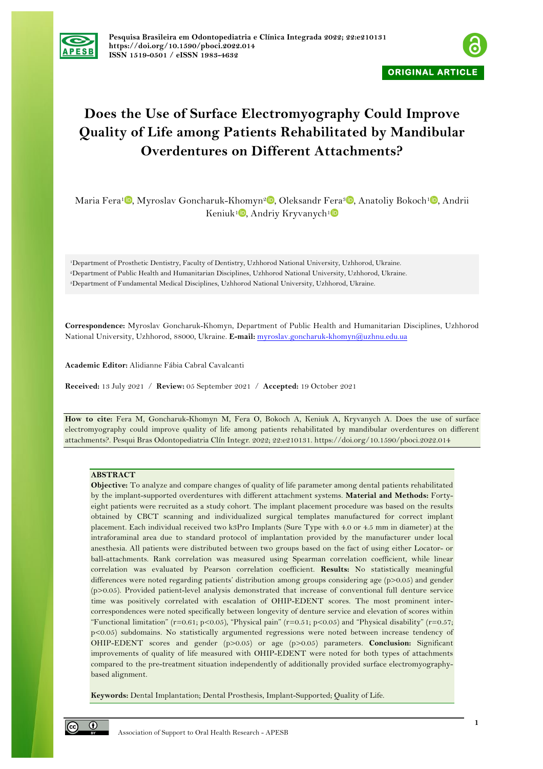



# **Does the Use of Surface Electromyography Could Improve Quality of Life among Patients Rehabilitated by Mandibular Overdentures on Different Attachments?**

Maria Fera<sup>1</sup><sup>®</sup>[,](https://orcid.org/0000-0001-8969-8043) Myroslav Goncharuk-Khomyn<sup>2</sup><sup>®</sup>, Oleksandr Fera<sup>3</sup><sup>®</sup>, Anatoliy Bokoch<sup>1</sup><sup>®</sup>, Andrii Keniuk<sup>1</sup>[,](https://orcid.org/0000-0001-6093-0785) Andriy Kryvanych<sup>1</sup>

1Department of Prosthetic Dentistry, Faculty of Dentistry, Uzhhorod National University, Uzhhorod, Ukraine. 2Department of Public Health and Humanitarian Disciplines, Uzhhorod National University, Uzhhorod, Ukraine. 3Department of Fundamental Medical Disciplines, Uzhhorod National University, Uzhhorod, Ukraine.

**Correspondence:** Myroslav Goncharuk-Khomyn, Department of Public Health and Humanitarian Disciplines, Uzhhorod National University, Uzhhorod, 88000, Ukraine. **E-mail:** myroslav.goncharuk-khomyn@uzhnu.edu.ua

**Academic Editor:** Alidianne Fábia Cabral Cavalcanti

**Received:** 13 July 2021 / **Review:** 05 September 2021 / **Accepted:** 19 October 2021

**How to cite:** Fera M, Goncharuk-Khomyn M, Fera O, Bokoch A, Keniuk A, Kryvanych A. Does the use of surface electromyography could improve quality of life among patients rehabilitated by mandibular overdentures on different attachments?. Pesqui Bras Odontopediatria Clín Integr. 2022; 22:e210131. https://doi.org/10.1590/pboci.2022.014

#### **ABSTRACT**

**Objective:** To analyze and compare changes of quality of life parameter among dental patients rehabilitated by the implant-supported overdentures with different attachment systems. **Material and Methods:** Fortyeight patients were recruited as a study cohort. The implant placement procedure was based on the results obtained by CBCT scanning and individualized surgical templates manufactured for correct implant placement. Each individual received two k3Pro Implants (Sure Type with 4.0 or 4.5 mm in diameter) at the intraforaminal area due to standard protocol of implantation provided by the manufacturer under local anesthesia. All patients were distributed between two groups based on the fact of using either Locator- or ball-attachments. Rank correlation was measured using Spearman correlation coefficient, while linear correlation was evaluated by Pearson correlation coefficient. **Results:** No statistically meaningful differences were noted regarding patients' distribution among groups considering age (p>0.05) and gender (p>0.05). Provided patient-level analysis demonstrated that increase of conventional full denture service time was positively correlated with escalation of OHIP-EDENT scores. The most prominent intercorrespondences were noted specifically between longevity of denture service and elevation of scores within "Functional limitation" (r=0.61; p<0.05), "Physical pain" (r=0.51; p<0.05) and "Physical disability" (r=0.57; p<0.05) subdomains. No statistically argumented regressions were noted between increase tendency of OHIP-EDENT scores and gender (p>0.05) or age (p>0.05) parameters. **Conclusion:** Significant improvements of quality of life measured with OHIP-EDENT were noted for both types of attachments compared to the pre-treatment situation independently of additionally provided surface electromyographybased alignment.

**Keywords:** Dental Implantation; Dental Prosthesis, Implant-Supported; Quality of Life.

 $\odot$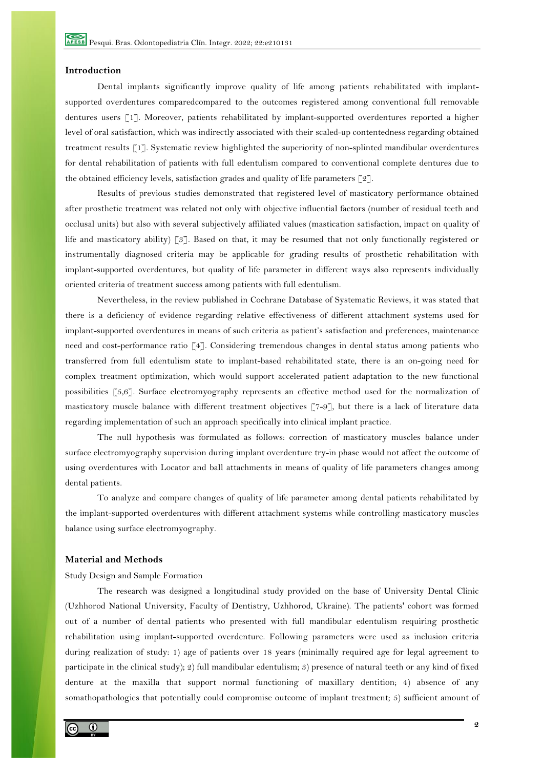### **Introduction**

Dental implants significantly improve quality of life among patients rehabilitated with implantsupported overdentures comparedcompared to the outcomes registered among conventional full removable dentures users [1]. Moreover, patients rehabilitated by implant-supported overdentures reported a higher level of oral satisfaction, which was indirectly associated with their scaled-up contentedness regarding obtained treatment results [1]. Systematic review highlighted the superiority of non-splinted mandibular overdentures for dental rehabilitation of patients with full edentulism compared to conventional complete dentures due to the obtained efficiency levels, satisfaction grades and quality of life parameters  $\lceil 2 \rceil$ .

Results of previous studies demonstrated that registered level of masticatory performance obtained after prosthetic treatment was related not only with objective influential factors (number of residual teeth and occlusal units) but also with several subjectively affiliated values (mastication satisfaction, impact on quality of life and masticatory ability) [3]. Based on that, it may be resumed that not only functionally registered or instrumentally diagnosed criteria may be applicable for grading results of prosthetic rehabilitation with implant-supported overdentures, but quality of life parameter in different ways also represents individually oriented criteria of treatment success among patients with full edentulism.

Nevertheless, in the review published in Cochrane Database of Systematic Reviews, it was stated that there is a deficiency of evidence regarding relative effectiveness of different attachment systems used for implant-supported overdentures in means of such criteria as patient's satisfaction and preferences, maintenance need and cost-performance ratio [4]. Considering tremendous changes in dental status among patients who transferred from full edentulism state to implant-based rehabilitated state, there is an on-going need for complex treatment optimization, which would support accelerated patient adaptation to the new functional possibilities [5,6]. Surface electromyography represents an effective method used for the normalization of masticatory muscle balance with different treatment objectives [7-9], but there is a lack of literature data regarding implementation of such an approach specifically into clinical implant practice.

The null hypothesis was formulated as follows: correction of masticatory muscles balance under surface electromyography supervision during implant overdenture try-in phase would not affect the outcome of using overdentures with Locator and ball attachments in means of quality of life parameters changes among dental patients.

To analyze and compare changes of quality of life parameter among dental patients rehabilitated by the implant-supported overdentures with different attachment systems while controlling masticatory muscles balance using surface electromyography.

# **Material and Methods**

Study Design and Sample Formation

The research was designed a longitudinal study provided on the base of University Dental Clinic (Uzhhorod National University, Faculty of Dentistry, Uzhhorod, Ukraine). The patients' cohort was formed out of a number of dental patients who presented with full mandibular edentulism requiring prosthetic rehabilitation using implant-supported overdenture. Following parameters were used as inclusion criteria during realization of study: 1) age of patients over 18 years (minimally required age for legal agreement to participate in the clinical study); 2) full mandibular edentulism; 3) presence of natural teeth or any kind of fixed denture at the maxilla that support normal functioning of maxillary dentition; 4) absence of any somathopathologies that potentially could compromise outcome of implant treatment; 5) sufficient amount of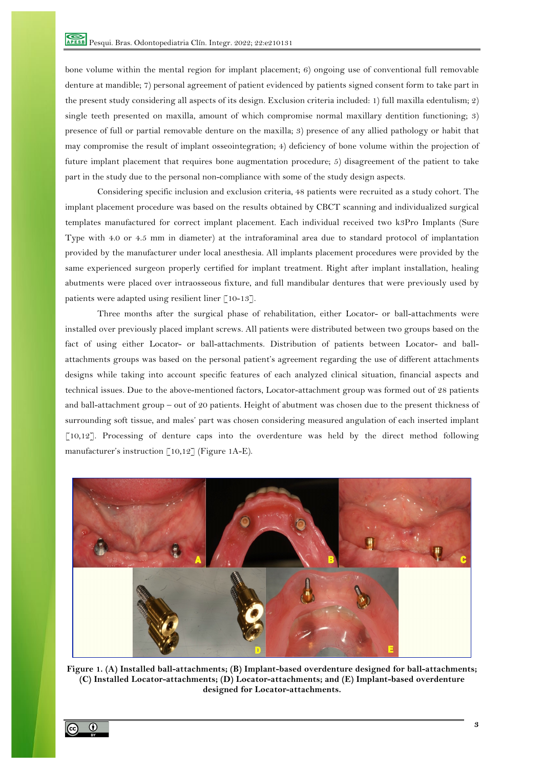bone volume within the mental region for implant placement; 6) ongoing use of conventional full removable denture at mandible; 7) personal agreement of patient evidenced by patients signed consent form to take part in the present study considering all aspects of its design. Exclusion criteria included: 1) full maxilla edentulism; 2) single teeth presented on maxilla, amount of which compromise normal maxillary dentition functioning; 3) presence of full or partial removable denture on the maxilla; 3) presence of any allied pathology or habit that may compromise the result of implant osseointegration; 4) deficiency of bone volume within the projection of future implant placement that requires bone augmentation procedure; 5) disagreement of the patient to take part in the study due to the personal non-compliance with some of the study design aspects.

Considering specific inclusion and exclusion criteria, 48 patients were recruited as a study cohort. The implant placement procedure was based on the results obtained by CBCT scanning and individualized surgical templates manufactured for correct implant placement. Each individual received two k3Pro Implants (Sure Type with 4.0 or 4.5 mm in diameter) at the intraforaminal area due to standard protocol of implantation provided by the manufacturer under local anesthesia. All implants placement procedures were provided by the same experienced surgeon properly certified for implant treatment. Right after implant installation, healing abutments were placed over intraosseous fixture, and full mandibular dentures that were previously used by patients were adapted using resilient liner [10-13].

Three months after the surgical phase of rehabilitation, either Locator- or ball-attachments were installed over previously placed implant screws. All patients were distributed between two groups based on the fact of using either Locator- or ball-attachments. Distribution of patients between Locator- and ballattachments groups was based on the personal patient's agreement regarding the use of different attachments designs while taking into account specific features of each analyzed clinical situation, financial aspects and technical issues. Due to the above-mentioned factors, Locator-attachment group was formed out of 28 patients and ball-attachment group – out of 20 patients. Height of abutment was chosen due to the present thickness of surrounding soft tissue, and males' part was chosen considering measured angulation of each inserted implant [10,12]. Processing of denture caps into the overdenture was held by the direct method following manufacturer's instruction [10,12] (Figure 1A-E).



**Figure 1. (A) Installed ball-attachments; (B) Implant-based overdenture designed for ball-attachments; (C) Installed Locator-attachments; (D) Locator-attachments; and (E) Implant-based overdenture designed for Locator-attachments.**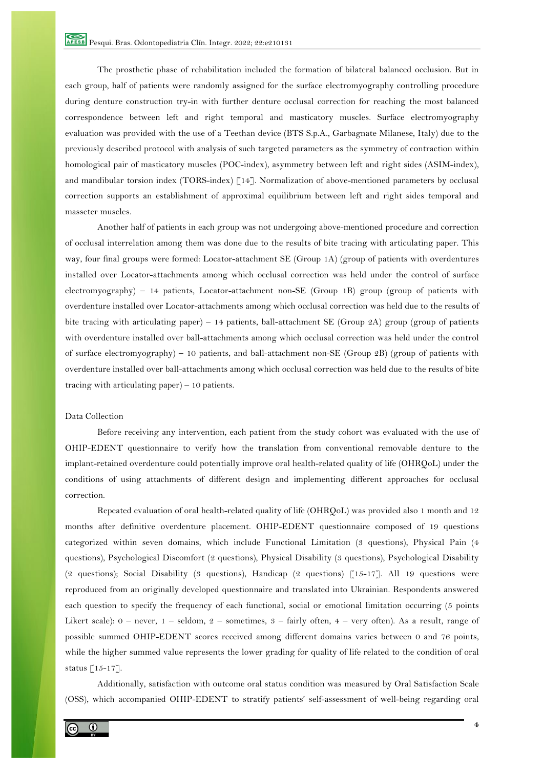The prosthetic phase of rehabilitation included the formation of bilateral balanced occlusion. But in each group, half of patients were randomly assigned for the surface electromyography controlling procedure during denture construction try-in with further denture occlusal correction for reaching the most balanced correspondence between left and right temporal and masticatory muscles. Surface electromyography evaluation was provided with the use of a Teethan device (BTS S.p.A., Garbagnate Milanese, Italy) due to the previously described protocol with analysis of such targeted parameters as the symmetry of contraction within homological pair of masticatory muscles (POC-index), asymmetry between left and right sides (ASIM-index), and mandibular torsion index (TORS-index) [14]. Normalization of above-mentioned parameters by occlusal correction supports an establishment of approximal equilibrium between left and right sides temporal and masseter muscles.

Another half of patients in each group was not undergoing above-mentioned procedure and correction of occlusal interrelation among them was done due to the results of bite tracing with articulating paper. This way, four final groups were formed: Locator-attachment SE (Group 1A) (group of patients with overdentures installed over Locator-attachments among which occlusal correction was held under the control of surface electromyography) – 14 patients, Locator-attachment non-SE (Group 1B) group (group of patients with overdenture installed over Locator-attachments among which occlusal correction was held due to the results of bite tracing with articulating paper) – 14 patients, ball-attachment SE (Group 2A) group (group of patients with overdenture installed over ball-attachments among which occlusal correction was held under the control of surface electromyography) – 10 patients, and ball-attachment non-SE (Group 2B) (group of patients with overdenture installed over ball-attachments among which occlusal correction was held due to the results of bite tracing with articulating paper) – 10 patients.

# Data Collection

Before receiving any intervention, each patient from the study cohort was evaluated with the use of OHIP-EDENT questionnaire to verify how the translation from conventional removable denture to the implant-retained overdenture could potentially improve oral health-related quality of life (OHRQoL) under the conditions of using attachments of different design and implementing different approaches for occlusal correction.

Repeated evaluation of oral health-related quality of life (OHRQoL) was provided also 1 month and 12 months after definitive overdenture placement. OHIP-EDENT questionnaire composed of 19 questions categorized within seven domains, which include Functional Limitation (3 questions), Physical Pain (4 questions), Psychological Discomfort (2 questions), Physical Disability (3 questions), Psychological Disability (2 questions); Social Disability (3 questions), Handicap (2 questions) [15-17]. All 19 questions were reproduced from an originally developed questionnaire and translated into Ukrainian. Respondents answered each question to specify the frequency of each functional, social or emotional limitation occurring (5 points Likert scale): 0 – never, 1 – seldom, 2 – sometimes, 3 – fairly often, 4 – very often). As a result, range of possible summed OHIP-EDENT scores received among different domains varies between 0 and 76 points, while the higher summed value represents the lower grading for quality of life related to the condition of oral status [15-17].

Additionally, satisfaction with outcome oral status condition was measured by Oral Satisfaction Scale (OSS), which accompanied OHIP-EDENT to stratify patients' self-assessment of well-being regarding oral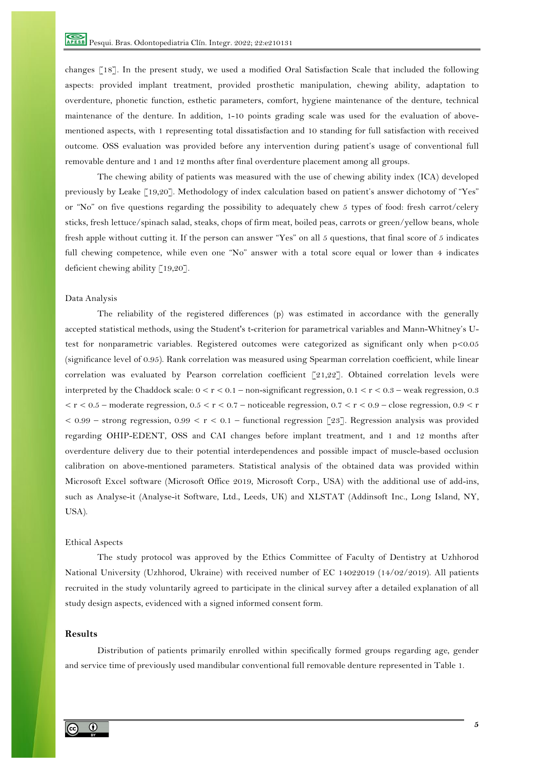changes [18]. In the present study, we used a modified Oral Satisfaction Scale that included the following aspects: provided implant treatment, provided prosthetic manipulation, chewing ability, adaptation to overdenture, phonetic function, esthetic parameters, comfort, hygiene maintenance of the denture, technical maintenance of the denture. In addition, 1-10 points grading scale was used for the evaluation of abovementioned aspects, with 1 representing total dissatisfaction and 10 standing for full satisfaction with received outcome. OSS evaluation was provided before any intervention during patient's usage of conventional full removable denture and 1 and 12 months after final overdenture placement among all groups.

The chewing ability of patients was measured with the use of chewing ability index (ICA) developed previously by Leake [19,20]. Methodology of index calculation based on patient's answer dichotomy of "Yes" or "No" on five questions regarding the possibility to adequately chew 5 types of food: fresh carrot/celery sticks, fresh lettuce/spinach salad, steaks, chops of firm meat, boiled peas, carrots or green/yellow beans, whole fresh apple without cutting it. If the person can answer "Yes" on all 5 questions, that final score of 5 indicates full chewing competence, while even one "No" answer with a total score equal or lower than 4 indicates deficient chewing ability [19,20].

### Data Analysis

The reliability of the registered differences (p) was estimated in accordance with the generally accepted statistical methods, using the Student's t-criterion for parametrical variables and Mann-Whitney's Utest for nonparametric variables. Registered outcomes were categorized as significant only when p<0.05 (significance level of 0.95). Rank correlation was measured using Spearman correlation coefficient, while linear correlation was evaluated by Pearson correlation coefficient [21,22]. Obtained correlation levels were interpreted by the Chaddock scale:  $0 < r < 0.1$  – non-significant regression,  $0.1 < r < 0.3$  – weak regression, 0.3  $<$  r  $<$  0.5 – moderate regression, 0.5  $<$  r  $<$  0.7 – noticeable regression, 0.7  $<$  r  $<$  0.9 – close regression, 0.9  $<$  r  $< 0.99$  – strong regression,  $0.99 < r < 0.1$  – functional regression [23]. Regression analysis was provided regarding OHIP-EDENT, OSS and CAI changes before implant treatment, and 1 and 12 months after overdenture delivery due to their potential interdependences and possible impact of muscle-based occlusion calibration on above-mentioned parameters. Statistical analysis of the obtained data was provided within Microsoft Excel software (Microsoft Office 2019, Microsoft Corp., USA) with the additional use of add-ins, such as Analyse-it (Analyse-it Software, Ltd., Leeds, UK) and XLSTAT (Addinsoft Inc., Long Island, NY, USA).

#### Ethical Aspects

The study protocol was approved by the Ethics Committee of Faculty of Dentistry at Uzhhorod National University (Uzhhorod, Ukraine) with received number of EC 14022019 (14/02/2019). All patients recruited in the study voluntarily agreed to participate in the clinical survey after a detailed explanation of all study design aspects, evidenced with a signed informed consent form.

#### **Results**

Distribution of patients primarily enrolled within specifically formed groups regarding age, gender and service time of previously used mandibular conventional full removable denture represented in Table 1.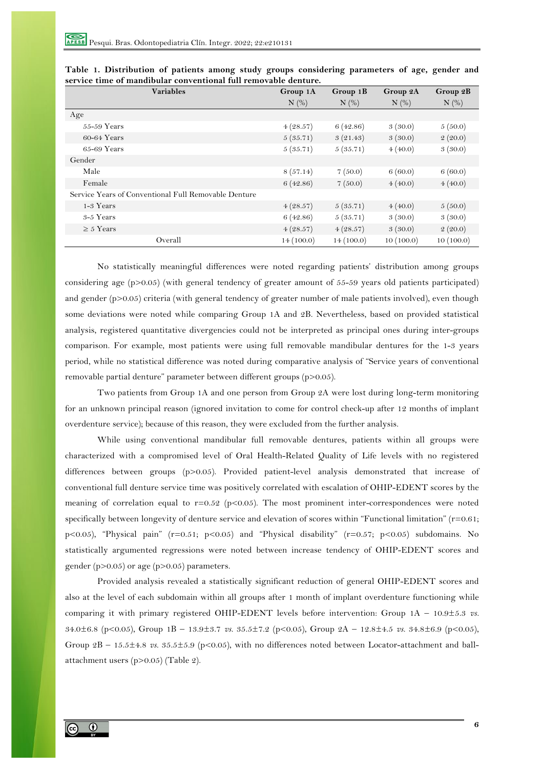| <b>Variables</b>                                     | Group 1A   | Group 1B   | Group 2A   | Group 2B   |
|------------------------------------------------------|------------|------------|------------|------------|
|                                                      | $N$ $(\%)$ | $N$ $(\%)$ | $N$ $(\%)$ | $N$ $(\%)$ |
| Age                                                  |            |            |            |            |
| $55-59$ Years                                        | 4(28.57)   | 6(42.86)   | 3(30.0)    | 5(50.0)    |
| $60-64$ Years                                        | 5(35.71)   | 3(21.43)   | 3(30.0)    | 2(20.0)    |
| $65-69$ Years                                        | 5(35.71)   | 5(35.71)   | 4(40.0)    | 3(30.0)    |
| Gender                                               |            |            |            |            |
| Male                                                 | 8(57.14)   | 7(50.0)    | 6(60.0)    | 6(60.0)    |
| Female                                               | 6(42.86)   | 7(50.0)    | 4(40.0)    | 4(40.0)    |
| Service Years of Conventional Full Removable Denture |            |            |            |            |
| 1-3 Years                                            | 4(28.57)   | 5(35.71)   | 4(40.0)    | 5(50.0)    |
| $3-5$ Years                                          | 6(42.86)   | 5(35.71)   | 3(30.0)    | 3(30.0)    |
| $\geq 5$ Years                                       | 4(28.57)   | 4(28.57)   | 3(30.0)    | 2(20.0)    |
| Overall                                              | 14(100.0)  | 14(100.0)  | 10(100.0)  | 10(100.0)  |

|  |                                                                 |  |  |  | Table 1. Distribution of patients among study groups considering parameters of age, gender and |  |  |  |
|--|-----------------------------------------------------------------|--|--|--|------------------------------------------------------------------------------------------------|--|--|--|
|  | service time of mandibular conventional full removable denture. |  |  |  |                                                                                                |  |  |  |

No statistically meaningful differences were noted regarding patients' distribution among groups considering age (p>0.05) (with general tendency of greater amount of 55-59 years old patients participated) and gender (p>0.05) criteria (with general tendency of greater number of male patients involved), even though some deviations were noted while comparing Group 1A and 2B. Nevertheless, based on provided statistical analysis, registered quantitative divergencies could not be interpreted as principal ones during inter-groups comparison. For example, most patients were using full removable mandibular dentures for the 1-3 years period, while no statistical difference was noted during comparative analysis of "Service years of conventional removable partial denture" parameter between different groups (p>0.05).

Two patients from Group 1A and one person from Group 2A were lost during long-term monitoring for an unknown principal reason (ignored invitation to come for control check-up after 12 months of implant overdenture service); because of this reason, they were excluded from the further analysis.

While using conventional mandibular full removable dentures, patients within all groups were characterized with a compromised level of Oral Health-Related Quality of Life levels with no registered differences between groups (p>0.05). Provided patient-level analysis demonstrated that increase of conventional full denture service time was positively correlated with escalation of OHIP-EDENT scores by the meaning of correlation equal to  $r=0.52$  (p<0.05). The most prominent inter-correspondences were noted specifically between longevity of denture service and elevation of scores within "Functional limitation" (r=0.61; p<0.05), "Physical pain" (r=0.51; p<0.05) and "Physical disability" (r=0.57; p<0.05) subdomains. No statistically argumented regressions were noted between increase tendency of OHIP-EDENT scores and gender (p>0.05) or age (p>0.05) parameters.

Provided analysis revealed a statistically significant reduction of general OHIP-EDENT scores and also at the level of each subdomain within all groups after 1 month of implant overdenture functioning while comparing it with primary registered OHIP-EDENT levels before intervention: Group 1A – 10.9±5.3 *vs.* 34.0±6.8 (p<0.05), Group 1B – 13.9±3.7 *vs.* 35.5±7.2 (p<0.05), Group 2A – 12.8±4.5 *vs.* 34.8±6.9 (p<0.05), Group  $2B - 15.5 \pm 4.8$  *vs.*  $35.5 \pm 5.9$  (p<0.05), with no differences noted between Locator-attachment and ballattachment users (p>0.05) (Table 2).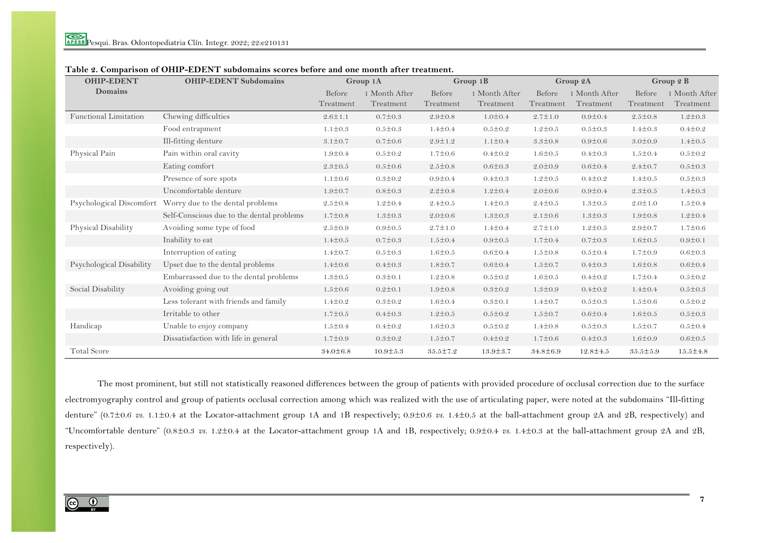| <b>OHIP-EDENT</b>        | <b>OHIP-EDENT Subdomains</b>              | Group 1A            |                            | Group 1B            |                            | Group 2A            |                            | Group 2 B           |                          |
|--------------------------|-------------------------------------------|---------------------|----------------------------|---------------------|----------------------------|---------------------|----------------------------|---------------------|--------------------------|
| <b>Domains</b>           |                                           | Before<br>Treatment | 1 Month After<br>Treatment | Before<br>Treatment | 1 Month After<br>Treatment | Before<br>Treatment | 1 Month After<br>Treatment | Before<br>Treatment | Month After<br>Treatment |
| Functional Limitation    | Chewing difficulties                      | $2.6 \pm 1.1$       | $0.7 \pm 0.3$              | $2.9 \pm 0.8$       | $1.0 \pm 0.4$              | $2.7 \pm 1.0$       | $0.9 \pm 0.4$              | $2.5 \pm 0.8$       | $1.2 \pm 0.3$            |
|                          | Food entrapment                           | $1.1 \pm 0.3$       | $0.5 \pm 0.3$              | $1.4 + 0.4$         | $0.5 \pm 0.2$              | $1.2 \pm 0.5$       | $0.5 \pm 0.3$              | $1.4 \pm 0.3$       | $0.4 \pm 0.2$            |
|                          | Ill-fitting denture                       | $3.1 \pm 0.7$       | $0.7 \pm 0.6$              | $2.9 \pm 1.2$       | $1.1 \pm 0.4$              | $3.3 \pm 0.8$       | $0.9 \pm 0.6$              | $3.0 \pm 0.9$       | $1.4 \pm 0.5$            |
| Physical Pain            | Pain within oral cavity                   | $1.9 \pm 0.4$       | $0.5 \pm 0.2$              | $1.7 \pm 0.6$       | $0.4 + 0.2$                | $1.6 \pm 0.5$       | $0.4 + 0.3$                | $1.5 \pm 0.4$       | $0.5 \pm 0.2$            |
|                          | Eating comfort                            | $2.3 \pm 0.5$       | $0.5 \pm 0.6$              | $2.5 \pm 0.8$       | $0.6 \pm 0.3$              | $2.0 \pm 0.9$       | $0.6 \pm 0.4$              | $2.4 \pm 0.7$       | $0.5 \pm 0.3$            |
|                          | Presence of sore spots                    | $1.1 \pm 0.6$       | $0.3 \pm 0.2$              | $0.9 \pm 0.4$       | $0.4 + 0.3$                | $1.2 \pm 0.5$       | $0.4 \pm 0.2$              | $1.4 \pm 0.5$       | $0.5 \pm 0.3$            |
|                          | Uncomfortable denture                     | $1.9 + 0.7$         | $0.8 \pm 0.3$              | $2.2 \pm 0.8$       | $1.2 \pm 0.4$              | $2.0 \pm 0.6$       | $0.9 \pm 0.4$              | $2.3 \pm 0.5$       | $1.4 \pm 0.3$            |
| Psychological Discomfort | Worry due to the dental problems          | $2.5 \pm 0.8$       | $1.2 \pm 0.4$              | $2.4 \pm 0.5$       | $1.4 \pm 0.3$              | $2.4 \pm 0.5$       | $1.3 \pm 0.5$              | $2.0 \pm 1.0$       | $1.5 \pm 0.4$            |
|                          | Self-Conscious due to the dental problems | $1.7 \pm 0.8$       | $1.3 \pm 0.3$              | $2.0 \pm 0.6$       | $1.3 \pm 0.3$              | $2.1 \pm 0.6$       | $1.3 \pm 0.3$              | $1.9 \pm 0.8$       | $1.2 \pm 0.4$            |
| Physical Disability      | Avoiding some type of food                | $2.5 \pm 0.9$       | $0.9 \pm 0.5$              | $2.7 \pm 1.0$       | $1.4 \pm 0.4$              | $2.7 \pm 1.0$       | $1.2 \pm 0.5$              | $2.9 + 0.7$         | $1.7 \pm 0.6$            |
|                          | Inability to eat                          | $1.4 \pm 0.5$       | $0.7 \pm 0.3$              | $1.5 \pm 0.4$       | $0.9 \pm 0.5$              | $1.7 \pm 0.4$       | $0.7 \pm 0.3$              | $1.6 \pm 0.5$       | $0.9 \pm 0.1$            |
|                          | Interruption of eating                    | $1.4 \pm 0.7$       | $0.5 \pm 0.3$              | $1.6 \pm 0.5$       | $0.6 \pm 0.4$              | $1.5 \pm 0.8$       | $0.5 \pm 0.4$              | $1.7 \pm 0.9$       | $0.6 \pm 0.3$            |
| Psychological Disability | Upset due to the dental problems          | $1.4 \pm 0.6$       | $0.4 \pm 0.3$              | $1.8 \pm 0.7$       | $0.6 \pm 0.4$              | $1.5 \pm 0.7$       | $0.4 \pm 0.3$              | $1.6 \pm 0.8$       | $0.6 \pm 0.4$            |
|                          | Embarrassed due to the dental problems    | $1.3 \pm 0.5$       | $0.3 \pm 0.1$              | $1.2 \pm 0.8$       | $0.5 \pm 0.2$              | $1.6 \pm 0.5$       | $0.4 \pm 0.2$              | $1.7 \pm 0.4$       | $0.5 \pm 0.2$            |
| Social Disability        | Avoiding going out                        | $1.5 \pm 0.6$       | $0.2 \pm 0.1$              | $1.9 \pm 0.8$       | $0.3 \pm 0.2$              | $1.3 \pm 0.9$       | $0.4 \pm 0.2$              | $1.4 \pm 0.4$       | $0.5 \pm 0.3$            |
|                          | Less tolerant with friends and family     | $1.4 \pm 0.2$       | $0.3 \pm 0.2$              | $1.6 \pm 0.4$       | $0.3 \pm 0.1$              | $1.4 \pm 0.7$       | $0.5 \pm 0.3$              | $1.5 \pm 0.6$       | $0.5 \pm 0.2$            |
|                          | Irritable to other                        | $1.7 \pm 0.5$       | $0.4 \pm 0.3$              | $1.2 \pm 0.5$       | $0.5 \pm 0.2$              | $1.5 \pm 0.7$       | $0.6 \pm 0.4$              | $1.6 \pm 0.5$       | $0.5 \pm 0.3$            |
| Handicap                 | Unable to enjoy company                   | $1.5 \pm 0.4$       | $0.4 \pm 0.2$              | $1.6 \pm 0.3$       | $0.5 \pm 0.2$              | $1.4 \pm 0.8$       | $0.5 \pm 0.3$              | $1.5 \pm 0.7$       | $0.5 \pm 0.4$            |
|                          | Dissatisfaction with life in general      | $1.7 \pm 0.9$       | $0.3 \pm 0.2$              | $1.5 \pm 0.7$       | $0.4 \pm 0.2$              | $1.7 \pm 0.6$       | $0.4 \pm 0.3$              | $1.6 \pm 0.9$       | $0.6 \pm 0.5$            |
| <b>Total Score</b>       |                                           | $34.0 \pm 6.8$      | $10.9 \pm 5.3$             | $35.5 \pm 7.2$      | $13.9 \pm 3.7$             | $34.8 \pm 6.9$      | $12.8 \pm 4.5$             | $35.5 \pm 5.9$      | $15.5 \pm 4.8$           |

## **Table 2. Comparison of OHIP-EDENT subdomains scores before and one month after treatment.**

The most prominent, but still not statistically reasoned differences between the group of patients with provided procedure of occlusal correction due to the surface electromyography control and group of patients occlusal correction among which was realized with the use of articulating paper, were noted at the subdomains "Ill-fitting denture" (0.7±0.6 *vs.* 1.1±0.4 at the Locator-attachment group 1A and 1B respectively; 0.9±0.6 *vs.* 1.4±0.5 at the ball-attachment group 2A and 2B, respectively) and "Uncomfortable denture" (0.8±0.3 *vs.* 1.2±0.4 at the Locator-attachment group 1A and 1B, respectively; 0.9±0.4 *vs.* 1.4±0.3 at the ball-attachment group 2A and 2B, respectively).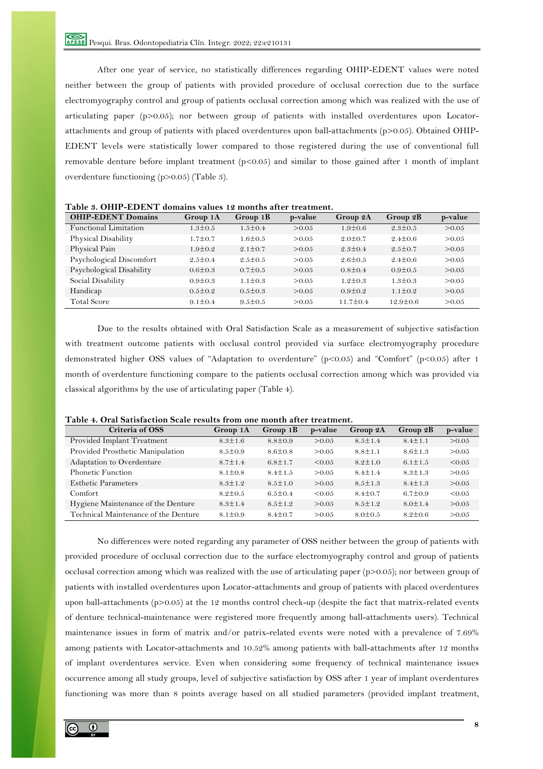After one year of service, no statistically differences regarding OHIP-EDENT values were noted neither between the group of patients with provided procedure of occlusal correction due to the surface electromyography control and group of patients occlusal correction among which was realized with the use of articulating paper (p>0.05); nor between group of patients with installed overdentures upon Locatorattachments and group of patients with placed overdentures upon ball-attachments (p>0.05). Obtained OHIP-EDENT levels were statistically lower compared to those registered during the use of conventional full removable denture before implant treatment  $(p<0.05)$  and similar to those gained after 1 month of implant overdenture functioning (p>0.05) (Table 3).

| <b>OHIP-EDENT Domains</b>    | Group 1A      | Group 1B      | p-value | Group 2A       | Group 2B       | p-value |
|------------------------------|---------------|---------------|---------|----------------|----------------|---------|
| <b>Functional Limitation</b> | $1.3 \pm 0.5$ | $1.5 \pm 0.4$ | >0.05   | $1.9 \pm 0.6$  | $2.3 \pm 0.5$  | > 0.05  |
| Physical Disability          | $1.7 \pm 0.7$ | $1.6 \pm 0.5$ | > 0.05  | $2.0 \pm 0.7$  | $2.4 \pm 0.6$  | > 0.05  |
| Physical Pain                | $1.9 \pm 0.2$ | $2.1 \pm 0.7$ | > 0.05  | $2.3 \pm 0.4$  | $2.5 \pm 0.7$  | > 0.05  |
| Psychological Discomfort     | $2.5 \pm 0.4$ | $2.5 \pm 0.5$ | > 0.05  | $2.6 \pm 0.5$  | $2.4 \pm 0.6$  | > 0.05  |
| Psychological Disability     | $0.6 \pm 0.3$ | $0.7 \pm 0.5$ | > 0.05  | $0.8 \pm 0.4$  | $0.9 \pm 0.5$  | > 0.05  |
| Social Disability            | $0.9 \pm 0.3$ | $1.1 \pm 0.3$ | > 0.05  | $1.2 \pm 0.3$  | $1.3 \pm 0.3$  | > 0.05  |
| Handicap                     | $0.5 \pm 0.2$ | $0.5 \pm 0.3$ | > 0.05  | $0.9 \pm 0.2$  | $1.1 \pm 0.2$  | > 0.05  |
| <b>Total Score</b>           | $9.1 \pm 0.4$ | $9.5 \pm 0.5$ | > 0.05  | $11.7 \pm 0.4$ | $12.9 \pm 0.6$ | > 0.05  |

**Table 3. OHIP-EDENT domains values 12 months after treatment.**

Due to the results obtained with Oral Satisfaction Scale as a measurement of subjective satisfaction with treatment outcome patients with occlusal control provided via surface electromyography procedure demonstrated higher OSS values of "Adaptation to overdenture" (p<0.05) and "Comfort" (p<0.05) after 1 month of overdenture functioning compare to the patients occlusal correction among which was provided via classical algorithms by the use of articulating paper (Table 4).

| Criteria of OSS                      | Group 1A      | Group $1B$    | p-value | Group 2A      | Group 2B      | p-value |
|--------------------------------------|---------------|---------------|---------|---------------|---------------|---------|
| Provided Implant Treatment           | $8.3 \pm 1.6$ | $8.8 \pm 0.9$ | > 0.05  | $8.5 \pm 1.4$ | $8.4 \pm 1.1$ | > 0.05  |
| Provided Prosthetic Manipulation     | $8.5 \pm 0.9$ | $8.6 \pm 0.8$ | > 0.05  | $8.8 \pm 1.1$ | $8.6 \pm 1.3$ | > 0.05  |
| Adaptation to Overdenture            | $8.7 \pm 1.4$ | $6.8 \pm 1.7$ | < 0.05  | $8.2 \pm 1.0$ | $6.1 \pm 1.5$ | < 0.05  |
| Phonetic Function                    | $8.1 \pm 0.8$ | $8.4 \pm 1.5$ | > 0.05  | $8.4 \pm 1.4$ | $8.3 \pm 1.3$ | > 0.05  |
| <b>Esthetic Parameters</b>           | $8.3 \pm 1.2$ | $8.5 \pm 1.0$ | > 0.05  | $8.5 \pm 1.3$ | $8.4 \pm 1.3$ | > 0.05  |
| Comfort                              | $8.2 \pm 0.5$ | $6.5 \pm 0.4$ | < 0.05  | $8.4 \pm 0.7$ | $6.7 \pm 0.9$ | < 0.05  |
| Hygiene Maintenance of the Denture   | $8.3 \pm 1.4$ | $8.5 \pm 1.2$ | > 0.05  | $8.5 \pm 1.2$ | $8.0 \pm 1.4$ | > 0.05  |
| Technical Maintenance of the Denture | $8.1 \pm 0.9$ | $8.4 \pm 0.7$ | > 0.05  | $8.0 \pm 0.5$ | $8.2 \pm 0.6$ | > 0.05  |

**Table 4. Oral Satisfaction Scale results from one month after treatment.**

No differences were noted regarding any parameter of OSS neither between the group of patients with provided procedure of occlusal correction due to the surface electromyography control and group of patients occlusal correction among which was realized with the use of articulating paper (p>0.05); nor between group of patients with installed overdentures upon Locator-attachments and group of patients with placed overdentures upon ball-attachments (p>0.05) at the 12 months control check-up (despite the fact that matrix-related events of denture technical-maintenance were registered more frequently among ball-attachments users). Technical maintenance issues in form of matrix and/or patrix-related events were noted with a prevalence of 7.69% among patients with Locator-attachments and 10.52% among patients with ball-attachments after 12 months of implant overdentures service. Even when considering some frequency of technical maintenance issues occurrence among all study groups, level of subjective satisfaction by OSS after 1 year of implant overdentures functioning was more than 8 points average based on all studied parameters (provided implant treatment,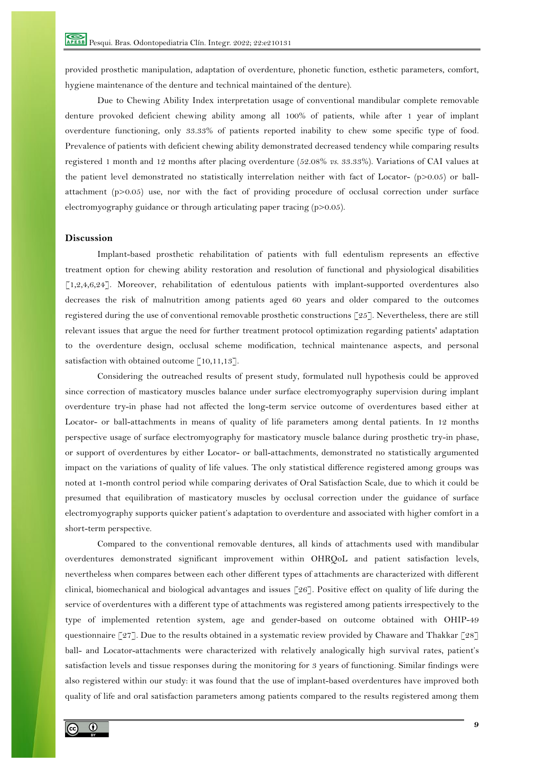provided prosthetic manipulation, adaptation of overdenture, phonetic function, esthetic parameters, comfort, hygiene maintenance of the denture and technical maintained of the denture).

Due to Chewing Ability Index interpretation usage of conventional mandibular complete removable denture provoked deficient chewing ability among all 100% of patients, while after 1 year of implant overdenture functioning, only 33.33% of patients reported inability to chew some specific type of food. Prevalence of patients with deficient chewing ability demonstrated decreased tendency while comparing results registered 1 month and 12 months after placing overdenture (52.08% *vs.* 33.33%). Variations of CAI values at the patient level demonstrated no statistically interrelation neither with fact of Locator- (p>0.05) or ballattachment (p>0.05) use, nor with the fact of providing procedure of occlusal correction under surface electromyography guidance or through articulating paper tracing (p>0.05).

# **Discussion**

Implant-based prosthetic rehabilitation of patients with full edentulism represents an effective treatment option for chewing ability restoration and resolution of functional and physiological disabilities [1,2,4,6,24]. Moreover, rehabilitation of edentulous patients with implant-supported overdentures also decreases the risk of malnutrition among patients aged 60 years and older compared to the outcomes registered during the use of conventional removable prosthetic constructions [25]. Nevertheless, there are still relevant issues that argue the need for further treatment protocol optimization regarding patients' adaptation to the overdenture design, occlusal scheme modification, technical maintenance aspects, and personal satisfaction with obtained outcome  $\lceil 10,11,13 \rceil$ .

Considering the outreached results of present study, formulated null hypothesis could be approved since correction of masticatory muscles balance under surface electromyography supervision during implant overdenture try-in phase had not affected the long-term service outcome of overdentures based either at Locator- or ball-attachments in means of quality of life parameters among dental patients. In 12 months perspective usage of surface electromyography for masticatory muscle balance during prosthetic try-in phase, or support of overdentures by either Locator- or ball-attachments, demonstrated no statistically argumented impact on the variations of quality of life values. The only statistical difference registered among groups was noted at 1-month control period while comparing derivates of Oral Satisfaction Scale, due to which it could be presumed that equilibration of masticatory muscles by occlusal correction under the guidance of surface electromyography supports quicker patient's adaptation to overdenture and associated with higher comfort in a short-term perspective.

Compared to the conventional removable dentures, all kinds of attachments used with mandibular overdentures demonstrated significant improvement within OHRQoL and patient satisfaction levels, nevertheless when compares between each other different types of attachments are characterized with different clinical, biomechanical and biological advantages and issues [26]. Positive effect on quality of life during the service of overdentures with a different type of attachments was registered among patients irrespectively to the type of implemented retention system, age and gender-based on outcome obtained with OHIP-49 questionnaire [27]. Due to the results obtained in a systematic review provided by Chaware and Thakkar [28] ball- and Locator-attachments were characterized with relatively analogically high survival rates, patient's satisfaction levels and tissue responses during the monitoring for 3 years of functioning. Similar findings were also registered within our study: it was found that the use of implant-based overdentures have improved both quality of life and oral satisfaction parameters among patients compared to the results registered among them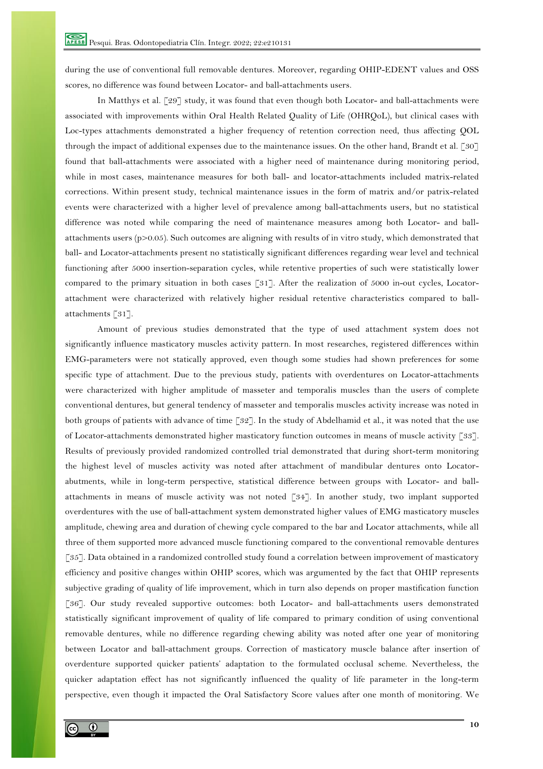during the use of conventional full removable dentures. Moreover, regarding OHIP-EDENT values and OSS scores, no difference was found between Locator- and ball-attachments users.

In Matthys et al. [29] study, it was found that even though both Locator- and ball-attachments were associated with improvements within Oral Health Related Quality of Life (OHRQoL), but clinical cases with Loc-types attachments demonstrated a higher frequency of retention correction need, thus affecting QOL through the impact of additional expenses due to the maintenance issues. On the other hand, Brandt et al. [30] found that ball-attachments were associated with a higher need of maintenance during monitoring period, while in most cases, maintenance measures for both ball- and locator-attachments included matrix-related corrections. Within present study, technical maintenance issues in the form of matrix and/or patrix-related events were characterized with a higher level of prevalence among ball-attachments users, but no statistical difference was noted while comparing the need of maintenance measures among both Locator- and ballattachments users (p>0.05). Such outcomes are aligning with results of in vitro study, which demonstrated that ball- and Locator-attachments present no statistically significant differences regarding wear level and technical functioning after 5000 insertion-separation cycles, while retentive properties of such were statistically lower compared to the primary situation in both cases [31]. After the realization of 5000 in-out cycles, Locatorattachment were characterized with relatively higher residual retentive characteristics compared to ballattachments [31].

Amount of previous studies demonstrated that the type of used attachment system does not significantly influence masticatory muscles activity pattern. In most researches, registered differences within EMG-parameters were not statically approved, even though some studies had shown preferences for some specific type of attachment. Due to the previous study, patients with overdentures on Locator-attachments were characterized with higher amplitude of masseter and temporalis muscles than the users of complete conventional dentures, but general tendency of masseter and temporalis muscles activity increase was noted in both groups of patients with advance of time [32]. In the study of Abdelhamid et al., it was noted that the use of Locator-attachments demonstrated higher masticatory function outcomes in means of muscle activity [33]. Results of previously provided randomized controlled trial demonstrated that during short-term monitoring the highest level of muscles activity was noted after attachment of mandibular dentures onto Locatorabutments, while in long-term perspective, statistical difference between groups with Locator- and ballattachments in means of muscle activity was not noted [34]. In another study, two implant supported overdentures with the use of ball-attachment system demonstrated higher values of EMG masticatory muscles amplitude, chewing area and duration of chewing cycle compared to the bar and Locator attachments, while all three of them supported more advanced muscle functioning compared to the conventional removable dentures [35]. Data obtained in a randomized controlled study found a correlation between improvement of masticatory efficiency and positive changes within OHIP scores, which was argumented by the fact that OHIP represents subjective grading of quality of life improvement, which in turn also depends on proper mastification function [36]. Our study revealed supportive outcomes: both Locator- and ball-attachments users demonstrated statistically significant improvement of quality of life compared to primary condition of using conventional removable dentures, while no difference regarding chewing ability was noted after one year of monitoring between Locator and ball-attachment groups. Correction of masticatory muscle balance after insertion of overdenture supported quicker patients' adaptation to the formulated occlusal scheme. Nevertheless, the quicker adaptation effect has not significantly influenced the quality of life parameter in the long-term perspective, even though it impacted the Oral Satisfactory Score values after one month of monitoring. We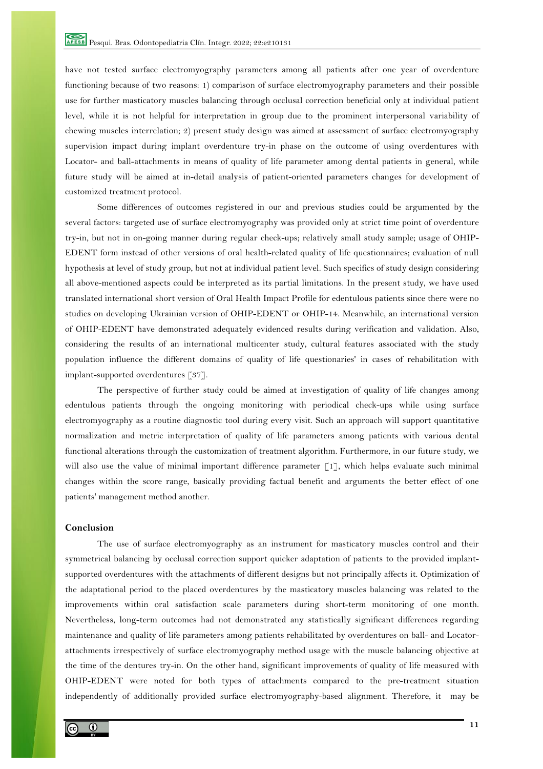have not tested surface electromyography parameters among all patients after one year of overdenture functioning because of two reasons: 1) comparison of surface electromyography parameters and their possible use for further masticatory muscles balancing through occlusal correction beneficial only at individual patient level, while it is not helpful for interpretation in group due to the prominent interpersonal variability of chewing muscles interrelation; 2) present study design was aimed at assessment of surface electromyography supervision impact during implant overdenture try-in phase on the outcome of using overdentures with Locator- and ball-attachments in means of quality of life parameter among dental patients in general, while future study will be aimed at in-detail analysis of patient-oriented parameters changes for development of customized treatment protocol.

Some differences of outcomes registered in our and previous studies could be argumented by the several factors: targeted use of surface electromyography was provided only at strict time point of overdenture try-in, but not in on-going manner during regular check-ups; relatively small study sample; usage of OHIP-EDENT form instead of other versions of oral health-related quality of life questionnaires; evaluation of null hypothesis at level of study group, but not at individual patient level. Such specifics of study design considering all above-mentioned aspects could be interpreted as its partial limitations. In the present study, we have used translated international short version of Oral Health Impact Profile for edentulous patients since there were no studies on developing Ukrainian version of OHIP-EDENT or OHIP-14. Meanwhile, an international version of OHIP-EDENT have demonstrated adequately evidenced results during verification and validation. Also, considering the results of an international multicenter study, cultural features associated with the study population influence the different domains of quality of life questionaries' in cases of rehabilitation with implant-supported overdentures [37].

The perspective of further study could be aimed at investigation of quality of life changes among edentulous patients through the ongoing monitoring with periodical check-ups while using surface electromyography as a routine diagnostic tool during every visit. Such an approach will support quantitative normalization and metric interpretation of quality of life parameters among patients with various dental functional alterations through the customization of treatment algorithm. Furthermore, in our future study, we will also use the value of minimal important difference parameter [1], which helps evaluate such minimal changes within the score range, basically providing factual benefit and arguments the better effect of one patients' management method another.

#### **Conclusion**

The use of surface electromyography as an instrument for masticatory muscles control and their symmetrical balancing by occlusal correction support quicker adaptation of patients to the provided implantsupported overdentures with the attachments of different designs but not principally affects it. Optimization of the adaptational period to the placed overdentures by the masticatory muscles balancing was related to the improvements within oral satisfaction scale parameters during short-term monitoring of one month. Nevertheless, long-term outcomes had not demonstrated any statistically significant differences regarding maintenance and quality of life parameters among patients rehabilitated by overdentures on ball- and Locatorattachments irrespectively of surface electromyography method usage with the muscle balancing objective at the time of the dentures try-in. On the other hand, significant improvements of quality of life measured with OHIP-EDENT were noted for both types of attachments compared to the pre-treatment situation independently of additionally provided surface electromyography-based alignment. Therefore, it may be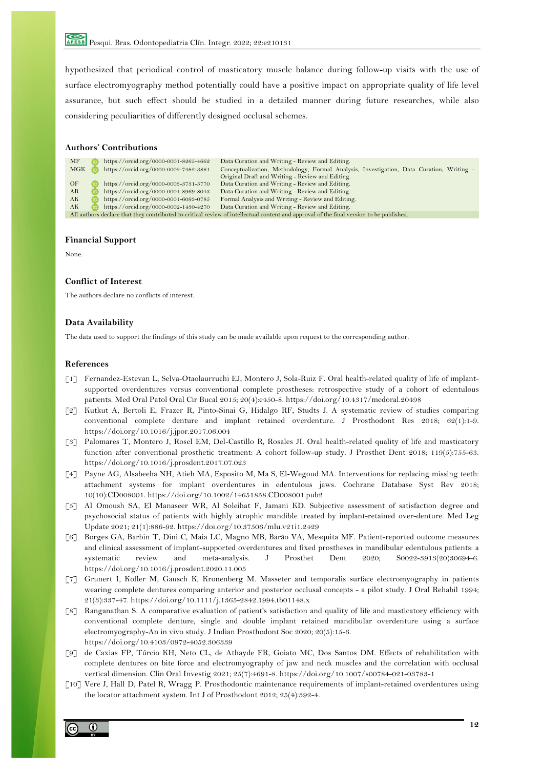Pesqui. Bras. Odontopediatria Clín. Integr. 2022; 22:e210131

hypothesized that periodical control of masticatory muscle balance during follow-up visits with the use of surface electromyography method potentially could have a positive impact on appropriate quality of life level assurance, but such effect should be studied in a detailed manner during future researches, while also considering peculiarities of differently designed occlusal schemes.

### **Authors' Contributions**

| MF                                                                                                                                      |  | https://orcid.org/0000-0001-8265-4662 | Data Curation and Writing - Review and Editing.                                          |  |  |  |
|-----------------------------------------------------------------------------------------------------------------------------------------|--|---------------------------------------|------------------------------------------------------------------------------------------|--|--|--|
| MGK                                                                                                                                     |  | https://orcid.org/0000-0002-7482-3881 | Conceptualization, Methodology, Formal Analysis, Investigation, Data Curation, Writing - |  |  |  |
|                                                                                                                                         |  |                                       | Original Draft and Writing - Review and Editing.                                         |  |  |  |
| OF                                                                                                                                      |  | https://orcid.org/0000-0003-3731-5770 | Data Curation and Writing - Review and Editing.                                          |  |  |  |
| AB                                                                                                                                      |  | https://orcid.org/0000-0001-8969-8043 | Data Curation and Writing - Review and Editing.                                          |  |  |  |
| AК                                                                                                                                      |  | https://orcid.org/0000-0001-6093-0785 | Formal Analysis and Writing - Review and Editing.                                        |  |  |  |
| AK                                                                                                                                      |  | https://orcid.org/0000-0002-1430-4270 | Data Curation and Writing - Review and Editing.                                          |  |  |  |
| All authors declare that they contributed to critical review of intellectual content and approval of the final version to be published. |  |                                       |                                                                                          |  |  |  |

#### **Financial Support**

None.

#### **Conflict of Interest**

The authors declare no conflicts of interest.

#### **Data Availability**

The data used to support the findings of this study can be made available upon request to the corresponding author.

#### **References**

- [1] Fernandez-Estevan L, Selva-Otaolaurruchi EJ, Montero J, Sola-Ruiz F. Oral health-related quality of life of implantsupported overdentures versus conventional complete prostheses: retrospective study of a cohort of edentulous patients. Med Oral Patol Oral Cir Bucal 2015; 20(4):e450-8. https://doi.org/10.4317/medoral.20498
- [2] Kutkut A, Bertoli E, Frazer R, Pinto-Sinai G, Hidalgo RF, Studts J. A systematic review of studies comparing conventional complete denture and implant retained overdenture. J Prosthodont Res 2018; 62(1):1-9. https://doi.org/10.1016/j.jpor.2017.06.004
- [3] Palomares T, Montero J, Rosel EM, Del-Castillo R, Rosales JI. Oral health-related quality of life and masticatory function after conventional prosthetic treatment: A cohort follow-up study. J Prosthet Dent 2018; 119(5):755-63. https://doi.org/10.1016/j.prosdent.2017.07.023
- [4] Payne AG, Alsabeeha NH, Atieh MA, Esposito M, Ma S, El-Wegoud MA. Interventions for replacing missing teeth: attachment systems for implant overdentures in edentulous jaws. Cochrane Database Syst Rev 2018; 10(10):CD008001. https://doi.org/10.1002/14651858.CD008001.pub2
- [5] Al Omoush SA, El Manaseer WR, Al Soleihat F, Jamani KD. Subjective assessment of satisfaction degree and psychosocial status of patients with highly atrophic mandible treated by implant-retained over-denture. Med Leg Update 2021; 21(1):886-92. https://doi.org/10.37506/mlu.v21i1.2429
- [6] Borges GA, Barbin T, Dini C, Maia LC, Magno MB, Barão VA, Mesquita MF. Patient-reported outcome measures and clinical assessment of implant-supported overdentures and fixed prostheses in mandibular edentulous patients: a systematic review and meta-analysis. J Prosthet Dent 2020; S0022-3913(20)30694-6. https://doi.org/10.1016/j.prosdent.2020.11.005
- [7] Grunert I, Kofler M, Gausch K, Kronenberg M. Masseter and temporalis surface electromyography in patients wearing complete dentures comparing anterior and posterior occlusal concepts - a pilot study. J Oral Rehabil 1994; 21(3):337-47. https://doi.org/10.1111/j.1365-2842.1994.tb01148.x
- [8] Ranganathan S. A comparative evaluation of patient's satisfaction and quality of life and masticatory efficiency with conventional complete denture, single and double implant retained mandibular overdenture using a surface electromyography-An in vivo study. J Indian Prosthodont Soc 2020; 20(5):15-6. https://doi.org/10.4103/0972-4052.306339
- [9] de Caxias FP, Túrcio KH, Neto CL, de Athayde FR, Goiato MC, Dos Santos DM. Effects of rehabilitation with complete dentures on bite force and electromyography of jaw and neck muscles and the correlation with occlusal vertical dimension. Clin Oral Investig 2021; 25(7):4691-8. https://doi.org/10.1007/s00784-021-03783-1
- [10] Vere J, Hall D, Patel R, Wragg P. Prosthodontic maintenance requirements of implant-retained overdentures using the locator attachment system. Int J of Prosthodont 2012; 25(4):392-4.

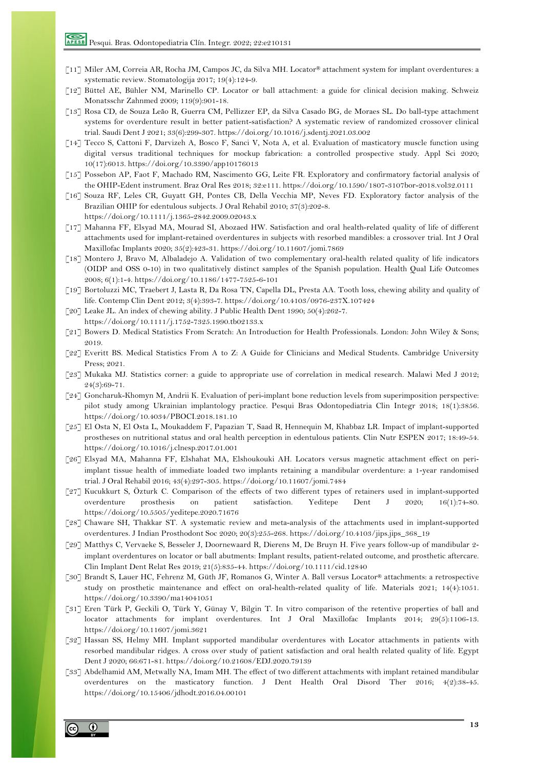- [11] Miler AM, Correia AR, Rocha JM, Campos JC, da Silva MH. Locator® attachment system for implant overdentures: a systematic review. Stomatologija 2017; 19(4):124-9.
- [12] Büttel AE, Bühler NM, Marinello CP. Locator or ball attachment: a guide for clinical decision making. Schweiz Monatsschr Zahnmed 2009; 119(9):901-18.
- [13] Rosa CD, de Souza Leão R, Guerra CM, Pellizzer EP, da Silva Casado BG, de Moraes SL. Do ball-type attachment systems for overdenture result in better patient-satisfaction? A systematic review of randomized crossover clinical trial. Saudi Dent J 2021; 33(6):299-307. https://doi.org/10.1016/j.sdentj.2021.03.002
- [14] Tecco S, Cattoni F, Darvizeh A, Bosco F, Sanci V, Nota A, et al. Evaluation of masticatory muscle function using digital versus traditional techniques for mockup fabrication: a controlled prospective study. Appl Sci 2020; 10(17):6013. https://doi.org/10.3390/app10176013
- [15] Possebon AP, Faot F, Machado RM, Nascimento GG, Leite FR. Exploratory and confirmatory factorial analysis of the OHIP-Edent instrument. Braz Oral Res 2018; 32:e111. https://doi.org/10.1590/1807-3107bor-2018.vol32.0111
- [16] Souza RF, Leles CR, Guyatt GH, Pontes CB, Della Vecchia MP, Neves FD. Exploratory factor analysis of the Brazilian OHIP for edentulous subjects. J Oral Rehabil 2010; 37(3):202-8. https://doi.org/10.1111/j.1365-2842.2009.02043.x
- [17] Mahanna FF, Elsyad MA, Mourad SI, Abozaed HW. Satisfaction and oral health-related quality of life of different attachments used for implant-retained overdentures in subjects with resorbed mandibles: a crossover trial. Int J Oral Maxillofac Implants 2020; 35(2):423-31. https://doi.org/10.11607/jomi.7869
- [18] Montero J, Bravo M, Albaladejo A. Validation of two complementary oral-health related quality of life indicators (OIDP and OSS 0-10) in two qualitatively distinct samples of the Spanish population. Health Qual Life Outcomes 2008; 6(1):1-4. https://doi.org/10.1186/1477-7525-6-101
- [19] Bortoluzzi MC, Traebert J, Lasta R, Da Rosa TN, Capella DL, Presta AA. Tooth loss, chewing ability and quality of life. Contemp Clin Dent 2012; 3(4):393-7. https://doi.org/10.4103/0976-237X.107424
- [20] Leake JL. An index of chewing ability. J Public Health Dent 1990;  $50(4):262-7$ . https://doi.org/10.1111/j.1752-7325.1990.tb02133.x
- [21] Bowers D. Medical Statistics From Scratch: An Introduction for Health Professionals. London: John Wiley & Sons; 2019.
- [22] Everitt BS. Medical Statistics From A to Z: A Guide for Clinicians and Medical Students. Cambridge University Press; 2021.
- [23] Mukaka MJ. Statistics corner: a guide to appropriate use of correlation in medical research. Malawi Med J 2012;  $24(3):69-71.$
- [24] Goncharuk-Khomyn M, Andrii K. Evaluation of peri-implant bone reduction levels from superimposition perspective: pilot study among Ukrainian implantology practice. Pesqui Bras Odontopediatria Clin Integr 2018; 18(1):3856. https://doi.org/10.4034/PBOCI.2018.181.10
- [25] El Osta N, El Osta L, Moukaddem F, Papazian T, Saad R, Hennequin M, Khabbaz LR. Impact of implant-supported prostheses on nutritional status and oral health perception in edentulous patients. Clin Nutr ESPEN 2017; 18:49-54. https://doi.org/10.1016/j.clnesp.2017.01.001
- [26] Elsyad MA, Mahanna FF, Elshahat MA, Elshoukouki AH. Locators versus magnetic attachment effect on periimplant tissue health of immediate loaded two implants retaining a mandibular overdenture: a 1-year randomised trial. J Oral Rehabil 2016; 43(4):297-305. https://doi.org/10.11607/jomi.7484
- [27] Kucukkurt S, Özturk C. Comparison of the effects of two different types of retainers used in implant-supported overdenture prosthesis on patient satisfaction. Yeditepe Dent J 2020; 16(1):74-80. https://doi.org/10.5505/yeditepe.2020.71676
- [28] Chaware SH, Thakkar ST. A systematic review and meta-analysis of the attachments used in implant-supported overdentures. J Indian Prosthodont Soc 2020; 20(3):255-268. https://doi.org/10.4103/jips.jips\_368\_19
- [29] Matthys C, Vervaeke S, Besseler J, Doornewaard R, Dierens M, De Bruyn H. Five years follow-up of mandibular 2 implant overdentures on locator or ball abutments: Implant results, patient-related outcome, and prosthetic aftercare. Clin Implant Dent Relat Res 2019; 21(5):835-44. https://doi.org/10.1111/cid.12840
- [30] Brandt S, Lauer HC, Fehrenz M, Güth JF, Romanos G, Winter A. Ball versus Locator® attachments: a retrospective study on prosthetic maintenance and effect on oral-health-related quality of life. Materials 2021; 14(4):1051. https://doi.org/10.3390/ma14041051
- [31] Eren Türk P, Geckili O, Türk Y, Günay V, Bilgin T. In vitro comparison of the retentive properties of ball and locator attachments for implant overdentures. Int J Oral Maxillofac Implants 2014; 29(5):1106-13. https://doi.org/10.11607/jomi.3621
- [32] Hassan SS, Helmy MH. Implant supported mandibular overdentures with Locator attachments in patients with resorbed mandibular ridges. A cross over study of patient satisfaction and oral health related quality of life. Egypt Dent J 2020; 66:671-81. https://doi.org/10.21608/EDJ.2020.79139
- [33] Abdelhamid AM, Metwally NA, Imam MH. The effect of two different attachments with implant retained mandibular overdentures on the masticatory function. J Dent Health Oral Disord Ther 2016; 4(2):38-45. https://doi.org/10.15406/jdhodt.2016.04.00101